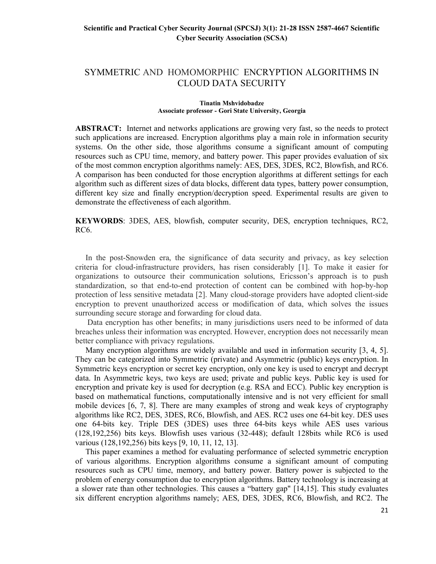# SYMMETRIC AND HOMOMORPHIC ENCRYPTION ALGORITHMS IN CLOUD DATA SECURITY

#### Tinatin Mshvidobadze Associate professor - Gori State University, Georgia

ABSTRACT: Internet and networks applications are growing very fast, so the needs to protect such applications are increased. Encryption algorithms play a main role in information security systems. On the other side, those algorithms consume a significant amount of computing resources such as CPU time, memory, and battery power. This paper provides evaluation of six of the most common encryption algorithms namely: AES, DES, 3DES, RC2, Blowfish, and RC6. A comparison has been conducted for those encryption algorithms at different settings for each algorithm such as different sizes of data blocks, different data types, battery power consumption, different key size and finally encryption/decryption speed. Experimental results are given to demonstrate the effectiveness of each algorithm.

KEYWORDS: 3DES, AES, blowfish, computer security, DES, encryption techniques, RC2, RC6.

 In the post-Snowden era, the significance of data security and privacy, as key selection criteria for cloud-infrastructure providers, has risen considerably [1]. To make it easier for organizations to outsource their communication solutions, Ericsson's approach is to push standardization, so that end-to-end protection of content can be combined with hop-by-hop protection of less sensitive metadata [2]. Many cloud-storage providers have adopted client-side encryption to prevent unauthorized access or modification of data, which solves the issues surrounding secure storage and forwarding for cloud data.

 Data encryption has other benefits; in many jurisdictions users need to be informed of data breaches unless their information was encrypted. However, encryption does not necessarily mean better compliance with privacy regulations.

 Many encryption algorithms are widely available and used in information security [3, 4, 5]. They can be categorized into Symmetric (private) and Asymmetric (public) keys encryption. In Symmetric keys encryption or secret key encryption, only one key is used to encrypt and decrypt data. In Asymmetric keys, two keys are used; private and public keys. Public key is used for encryption and private key is used for decryption (e.g. RSA and ECC). Public key encryption is based on mathematical functions, computationally intensive and is not very efficient for small mobile devices [6, 7, 8]. There are many examples of strong and weak keys of cryptography algorithms like RC2, DES, 3DES, RC6, Blowfish, and AES. RC2 uses one 64-bit key. DES uses one 64-bits key. Triple DES (3DES) uses three 64-bits keys while AES uses various (128,192,256) bits keys. Blowfish uses various (32-448); default 128bits while RC6 is used various (128,192,256) bits keys [9, 10, 11, 12, 13].

 This paper examines a method for evaluating performance of selected symmetric encryption of various algorithms. Encryption algorithms consume a significant amount of computing resources such as CPU time, memory, and battery power. Battery power is subjected to the problem of energy consumption due to encryption algorithms. Battery technology is increasing at a slower rate than other technologies. This causes a "battery gap" [14,15]. This study evaluates six different encryption algorithms namely; AES, DES, 3DES, RC6, Blowfish, and RC2. The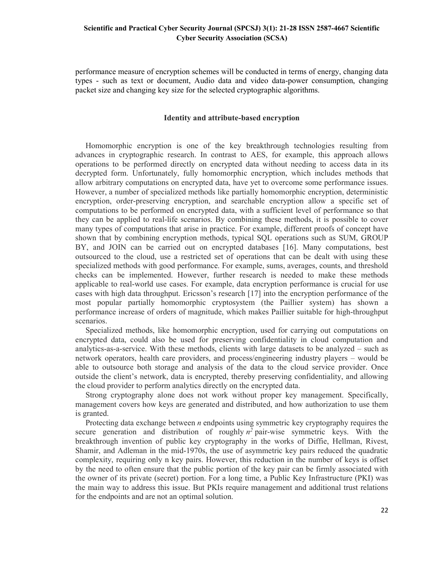performance measure of encryption schemes will be conducted in terms of energy, changing data types - such as text or document, Audio data and video data-power consumption, changing packet size and changing key size for the selected cryptographic algorithms.

#### Identity and attribute-based encryption

 Homomorphic encryption is one of the key breakthrough technologies resulting from advances in cryptographic research. In contrast to AES, for example, this approach allows operations to be performed directly on encrypted data without needing to access data in its decrypted form. Unfortunately, fully homomorphic encryption, which includes methods that allow arbitrary computations on encrypted data, have yet to overcome some performance issues. However, a number of specialized methods like partially homomorphic encryption, deterministic encryption, order-preserving encryption, and searchable encryption allow a specific set of computations to be performed on encrypted data, with a sufficient level of performance so that they can be applied to real-life scenarios. By combining these methods, it is possible to cover many types of computations that arise in practice. For example, different proofs of concept have shown that by combining encryption methods, typical SQL operations such as SUM, GROUP BY, and JOIN can be carried out on encrypted databases [16]. Many computations, best outsourced to the cloud, use a restricted set of operations that can be dealt with using these specialized methods with good performance. For example, sums, averages, counts, and threshold checks can be implemented. However, further research is needed to make these methods applicable to real-world use cases. For example, data encryption performance is crucial for use cases with high data throughput. Ericsson's research [17] into the encryption performance of the most popular partially homomorphic cryptosystem (the Paillier system) has shown a performance increase of orders of magnitude, which makes Paillier suitable for high-throughput scenarios.

 Specialized methods, like homomorphic encryption, used for carrying out computations on encrypted data, could also be used for preserving confidentiality in cloud computation and analytics-as-a-service. With these methods, clients with large datasets to be analyzed – such as network operators, health care providers, and process/engineering industry players – would be able to outsource both storage and analysis of the data to the cloud service provider. Once outside the client's network, data is encrypted, thereby preserving confidentiality, and allowing the cloud provider to perform analytics directly on the encrypted data.

 Strong cryptography alone does not work without proper key management. Specifically, management covers how keys are generated and distributed, and how authorization to use them is granted.

Protecting data exchange between  $n$  endpoints using symmetric key cryptography requires the secure generation and distribution of roughly  $n^2$  pair-wise symmetric keys. With the breakthrough invention of public key cryptography in the works of Diffie, Hellman, Rivest, Shamir, and Adleman in the mid-1970s, the use of asymmetric key pairs reduced the quadratic complexity, requiring only n key pairs. However, this reduction in the number of keys is offset by the need to often ensure that the public portion of the key pair can be firmly associated with the owner of its private (secret) portion. For a long time, a Public Key Infrastructure (PKI) was the main way to address this issue. But PKIs require management and additional trust relations for the endpoints and are not an optimal solution.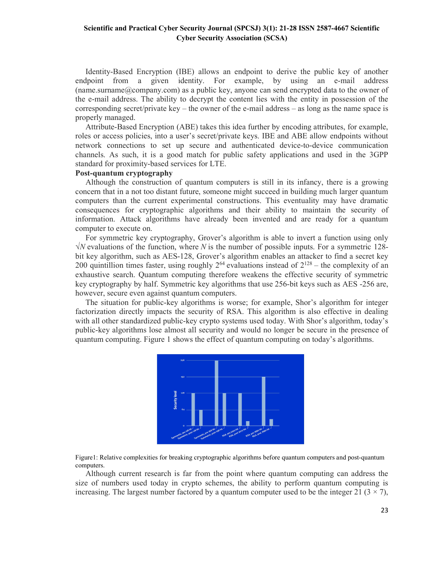Identity-Based Encryption (IBE) allows an endpoint to derive the public key of another endpoint from a given identity. For example, by using an e-mail address  $(name. surname@company.com)$  as a public key, anyone can send encrypted data to the owner of the e-mail address. The ability to decrypt the content lies with the entity in possession of the corresponding secret/private key – the owner of the e-mail address – as long as the name space is properly managed.

 Attribute-Based Encryption (ABE) takes this idea further by encoding attributes, for example, roles or access policies, into a user's secret/private keys. IBE and ABE allow endpoints without network connections to set up secure and authenticated device-to-device communication channels. As such, it is a good match for public safety applications and used in the 3GPP standard for proximity-based services for LTE.

# Post-quantum cryptography

 Although the construction of quantum computers is still in its infancy, there is a growing concern that in a not too distant future, someone might succeed in building much larger quantum computers than the current experimental constructions. This eventuality may have dramatic consequences for cryptographic algorithms and their ability to maintain the security of information. Attack algorithms have already been invented and are ready for a quantum computer to execute on.

 For symmetric key cryptography, Grover's algorithm is able to invert a function using only  $\sqrt{N}$  evaluations of the function, where N is the number of possible inputs. For a symmetric 128bit key algorithm, such as AES-128, Grover's algorithm enables an attacker to find a secret key 200 quintillion times faster, using roughly  $2^{64}$  evaluations instead of  $2^{128}$  – the complexity of an exhaustive search. Quantum computing therefore weakens the effective security of symmetric key cryptography by half. Symmetric key algorithms that use 256-bit keys such as AES -256 are, however, secure even against quantum computers.

 The situation for public-key algorithms is worse; for example, Shor's algorithm for integer factorization directly impacts the security of RSA. This algorithm is also effective in dealing with all other standardized public-key crypto systems used today. With Shor's algorithm, today's public-key algorithms lose almost all security and would no longer be secure in the presence of quantum computing. Figure 1 shows the effect of quantum computing on today's algorithms.





 Although current research is far from the point where quantum computing can address the size of numbers used today in crypto schemes, the ability to perform quantum computing is increasing. The largest number factored by a quantum computer used to be the integer 21 ( $3 \times 7$ ),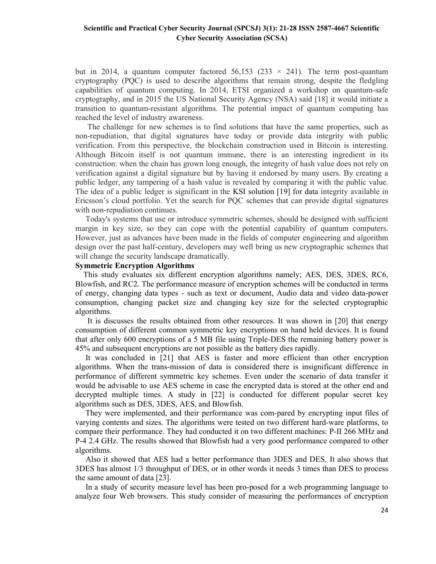but in 2014, a quantum computer factored 56,153 (233  $\times$  241). The term post-quantum cryptography (PQC) is used to describe algorithms that remain strong, despite the fledgling capabilities of quantum computing. In 2014, ETSI organized a workshop on quantum-safe cryptography, and in 2015 the US National Security Agency (NSA) said [18] it would initiate a transition to quantum-resistant algorithms. The potential impact of quantum computing has reached the level of industry awareness.

 The challenge for new schemes is to find solutions that have the same properties, such as non-repudiation, that digital signatures have today or provide data integrity with public verification. From this perspective, the blockchain construction used in Bitcoin is interesting. Although Bitcoin itself is not quantum immune, there is an interesting ingredient in its construction: when the chain has grown long enough, the integrity of hash value does not rely on verification against a digital signature but by having it endorsed by many users. By creating a public ledger, any tampering of a hash value is revealed by comparing it with the public value. The idea of a public ledger is significant in the KSI solution [19] for data integrity available in Ericsson's cloud portfolio. Yet the search for PQC schemes that can provide digital signatures with non-repudiation continues.

 Today's systems that use or introduce symmetric schemes, should be designed with sufficient margin in key size, so they can cope with the potential capability of quantum computers. However, just as advances have been made in the fields of computer engineering and algorithm design over the past half-century, developers may well bring us new cryptographic schemes that will change the security landscape dramatically.

#### Symmetric Encryption Algorithms

 This study evaluates six different encryption algorithms namely; AES, DES, 3DES, RC6, Blowfish, and RC2. The performance measure of encryption schemes will be conducted in terms of energy, changing data types - such as text or document, Audio data and video data-power consumption, changing packet size and changing key size for the selected cryptographic algorithms.

 It is discusses the results obtained from other resources. It was shown in [20] that energy consumption of different common symmetric key encryptions on hand held devices. It is found that after only 600 encryptions of a 5 MB file using Triple-DES the remaining battery power is 45% and subsequent encryptions are not possible as the battery dies rapidly.

 It was concluded in [21] that AES is faster and more efficient than other encryption algorithms. When the trans-mission of data is considered there is insignificant difference in performance of different symmetric key schemes. Even under the scenario of data transfer it would be advisable to use AES scheme in case the encrypted data is stored at the other end and decrypted multiple times. A study in [22] is conducted for different popular secret key algorithms such as DES, 3DES, AES, and Blowfish.

 They were implemented, and their performance was com-pared by encrypting input files of varying contents and sizes. The algorithms were tested on two different hard-ware platforms, to compare their performance. They had conducted it on two different machines: P-II 266 MHz and P-4 2.4 GHz. The results showed that Blowfish had a very good performance compared to other algorithms.

 Also it showed that AES had a better performance than 3DES and DES. It also shows that 3DES has almost 1/3 throughput of DES, or in other words it needs 3 times than DES to process the same amount of data [23].

 In a study of security measure level has been pro-posed for a web programming language to analyze four Web browsers. This study consider of measuring the performances of encryption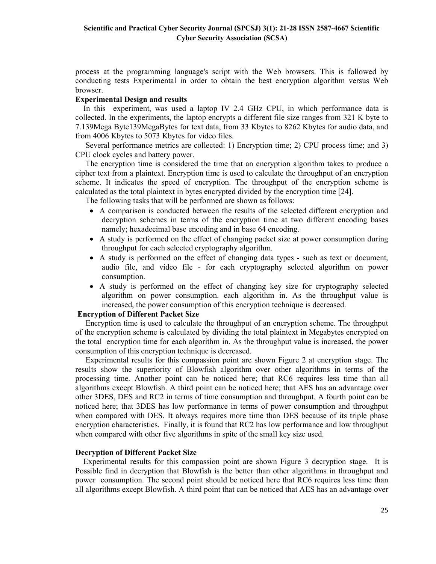process at the programming language's script with the Web browsers. This is followed by conducting tests Experimental in order to obtain the best encryption algorithm versus Web browser.

### Experimental Design and results

 In this experiment, was used a laptop IV 2.4 GHz CPU, in which performance data is collected. In the experiments, the laptop encrypts a different file size ranges from 321 K byte to 7.139Mega Byte139MegaBytes for text data, from 33 Kbytes to 8262 Kbytes for audio data, and from 4006 Kbytes to 5073 Kbytes for video files.

 Several performance metrics are collected: 1) Encryption time; 2) CPU process time; and 3) CPU clock cycles and battery power.

 The encryption time is considered the time that an encryption algorithm takes to produce a cipher text from a plaintext. Encryption time is used to calculate the throughput of an encryption scheme. It indicates the speed of encryption. The throughput of the encryption scheme is calculated as the total plaintext in bytes encrypted divided by the encryption time [24].

The following tasks that will be performed are shown as follows:

- A comparison is conducted between the results of the selected different encryption and decryption schemes in terms of the encryption time at two different encoding bases namely; hexadecimal base encoding and in base 64 encoding.
- A study is performed on the effect of changing packet size at power consumption during throughput for each selected cryptography algorithm.
- A study is performed on the effect of changing data types such as text or document, audio file, and video file - for each cryptography selected algorithm on power consumption.
- A study is performed on the effect of changing key size for cryptography selected algorithm on power consumption. each algorithm in. As the throughput value is increased, the power consumption of this encryption technique is decreased.

### Encryption of Different Packet Size

 Encryption time is used to calculate the throughput of an encryption scheme. The throughput of the encryption scheme is calculated by dividing the total plaintext in Megabytes encrypted on the total encryption time for each algorithm in. As the throughput value is increased, the power consumption of this encryption technique is decreased.

 Experimental results for this compassion point are shown Figure 2 at encryption stage. The results show the superiority of Blowfish algorithm over other algorithms in terms of the processing time. Another point can be noticed here; that RC6 requires less time than all algorithms except Blowfish. A third point can be noticed here; that AES has an advantage over other 3DES, DES and RC2 in terms of time consumption and throughput. A fourth point can be noticed here; that 3DES has low performance in terms of power consumption and throughput when compared with DES. It always requires more time than DES because of its triple phase encryption characteristics. Finally, it is found that RC2 has low performance and low throughput when compared with other five algorithms in spite of the small key size used.

### Decryption of Different Packet Size

 Experimental results for this compassion point are shown Figure 3 decryption stage. It is Possible find in decryption that Blowfish is the better than other algorithms in throughput and power consumption. The second point should be noticed here that RC6 requires less time than all algorithms except Blowfish. A third point that can be noticed that AES has an advantage over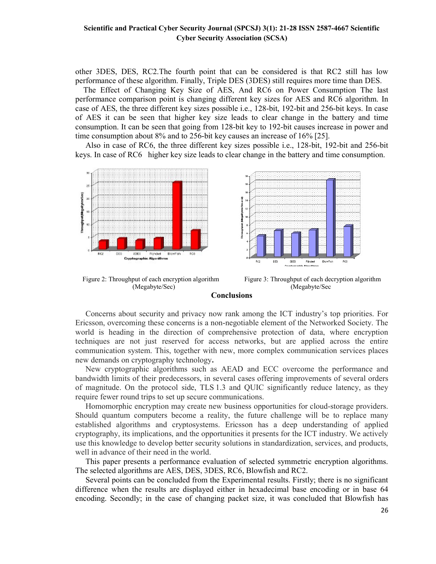other 3DES, DES, RC2.The fourth point that can be considered is that RC2 still has low performance of these algorithm. Finally, Triple DES (3DES) still requires more time than DES.

 The Effect of Changing Key Size of AES, And RC6 on Power Consumption The last performance comparison point is changing different key sizes for AES and RC6 algorithm. In case of AES, the three different key sizes possible i.e., 128-bit, 192-bit and 256-bit keys. In case of AES it can be seen that higher key size leads to clear change in the battery and time consumption. It can be seen that going from 128-bit key to 192-bit causes increase in power and time consumption about 8% and to 256-bit key causes an increase of 16% [25].

 Also in case of RC6, the three different key sizes possible i.e., 128-bit, 192-bit and 256-bit keys. In case of RC6 higher key size leads to clear change in the battery and time consumption.







#### Conclusions

 Concerns about security and privacy now rank among the ICT industry's top priorities. For Ericsson, overcoming these concerns is a non-negotiable element of the Networked Society. The world is heading in the direction of comprehensive protection of data, where encryption techniques are not just reserved for access networks, but are applied across the entire communication system. This, together with new, more complex communication services places new demands on cryptography technology.

 New cryptographic algorithms such as AEAD and ECC overcome the performance and bandwidth limits of their predecessors, in several cases offering improvements of several orders of magnitude. On the protocol side, TLS 1.3 and QUIC significantly reduce latency, as they require fewer round trips to set up secure communications.

 Homomorphic encryption may create new business opportunities for cloud-storage providers. Should quantum computers become a reality, the future challenge will be to replace many established algorithms and cryptosystems. Ericsson has a deep understanding of applied cryptography, its implications, and the opportunities it presents for the ICT industry. We actively use this knowledge to develop better security solutions in standardization, services, and products, well in advance of their need in the world.

 This paper presents a performance evaluation of selected symmetric encryption algorithms. The selected algorithms are AES, DES, 3DES, RC6, Blowfish and RC2.

 Several points can be concluded from the Experimental results. Firstly; there is no significant difference when the results are displayed either in hexadecimal base encoding or in base 64 encoding. Secondly; in the case of changing packet size, it was concluded that Blowfish has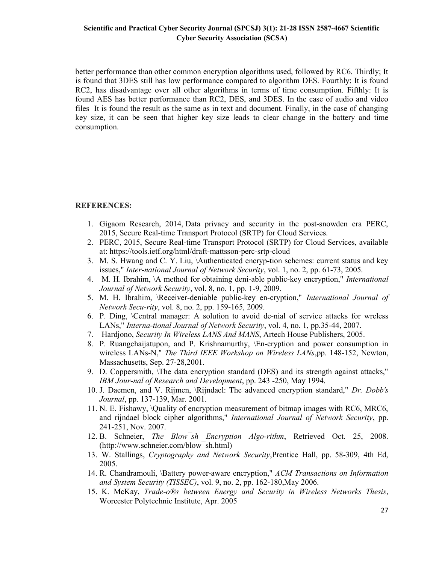better performance than other common encryption algorithms used, followed by RC6. Thirdly; It is found that 3DES still has low performance compared to algorithm DES. Fourthly: It is found RC2, has disadvantage over all other algorithms in terms of time consumption. Fifthly: It is found AES has better performance than RC2, DES, and 3DES. In the case of audio and video files It is found the result as the same as in text and document. Finally, in the case of changing key size, it can be seen that higher key size leads to clear change in the battery and time consumption.

### REFERENCES:

- 1. Gigaom Research, 2014, Data privacy and security in the post-snowden era PERC, 2015, Secure Real-time Transport Protocol (SRTP) for Cloud Services.
- 2. PERC, 2015, Secure Real-time Transport Protocol (SRTP) for Cloud Services, available at: https://tools.ietf.org/html/draft-mattsson-perc-srtp-cloud
- 3. M. S. Hwang and C. Y. Liu, \Authenticated encryp-tion schemes: current status and key issues," Inter-national Journal of Network Security, vol. 1, no. 2, pp. 61-73, 2005.
- 4. M. H. Ibrahim, \A method for obtaining deni-able public-key encryption," International Journal of Network Security, vol. 8, no. 1, pp. 1-9, 2009.
- 5. M. H. Ibrahim, \Receiver-deniable public-key en-cryption," International Journal of Network Secu-rity, vol. 8, no. 2, pp. 159-165, 2009.
- 6. P. Ding, \Central manager: A solution to avoid de-nial of service attacks for wreless LANs," Interna-tional Journal of Network Security, vol. 4, no. 1, pp.35-44, 2007.
- 7. Hardiono, Security In Wireless LANS And MANS, Artech House Publishers, 2005.
- 8. P. Ruangchaijatupon, and P. Krishnamurthy, \En-cryption and power consumption in wireless LANs-N," The Third IEEE Workshop on Wireless LANs, pp. 148-152, Newton, Massachusetts, Sep. 27-28,2001.
- 9. D. Coppersmith, \The data encryption standard (DES) and its strength against attacks," IBM Jour-nal of Research and Development, pp. 243 -250, May 1994.
- 10. J. Daemen, and V. Rijmen, \Rijndael: The advanced encryption standard," Dr. Dobb's Journal, pp. 137-139, Mar. 2001.
- 11. N. E. Fishawy, \Quality of encryption measurement of bitmap images with RC6, MRC6, and rijndael block cipher algorithms," International Journal of Network Security, pp. 241-251, Nov. 2007.
- 12. B. Schneier, The Blow sh Encryption Algo-rithm, Retrieved Oct. 25, 2008. (http://www.schneier.com/blow¯sh.html)
- 13. W. Stallings, Cryptography and Network Security, Prentice Hall, pp. 58-309, 4th Ed, 2005.
- 14. R. Chandramouli, \Battery power-aware encryption," ACM Transactions on Information and System Security (TISSEC), vol. 9, no. 2, pp. 162-180,May 2006.
- 15. K. McKay, Trade-o®s between Energy and Security in Wireless Networks Thesis, Worcester Polytechnic Institute, Apr. 2005